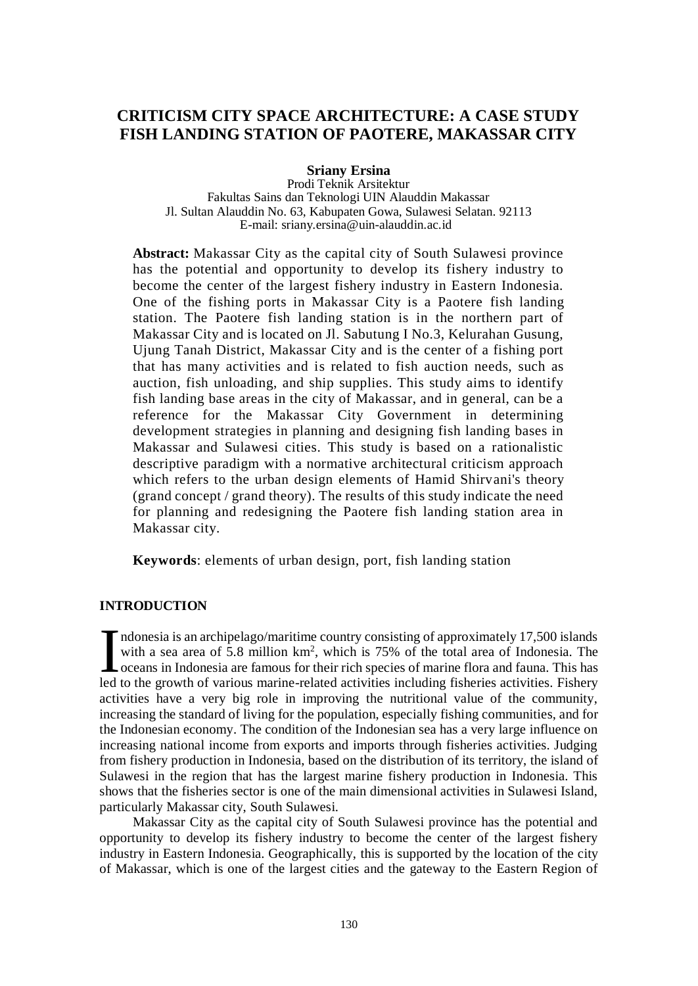# **CRITICISM CITY SPACE ARCHITECTURE: A CASE STUDY FISH LANDING STATION OF PAOTERE, MAKASSAR CITY**

**Sriany Ersina**

Prodi Teknik Arsitektur Fakultas Sains dan Teknologi UIN Alauddin Makassar Jl. Sultan Alauddin No. 63, Kabupaten Gowa, Sulawesi Selatan. 92113 E-mail: srian[y.ersina@uin-alauddin.ac.id](mailto:ersina@uin-alauddin.ac.id)

**Abstract:** Makassar City as the capital city of South Sulawesi province has the potential and opportunity to develop its fishery industry to become the center of the largest fishery industry in Eastern Indonesia. One of the fishing ports in Makassar City is a Paotere fish landing station. The Paotere fish landing station is in the northern part of Makassar City and is located on Jl. Sabutung I No.3, Kelurahan Gusung, Ujung Tanah District, Makassar City and is the center of a fishing port that has many activities and is related to fish auction needs, such as auction, fish unloading, and ship supplies. This study aims to identify fish landing base areas in the city of Makassar, and in general, can be a reference for the Makassar City Government in determining development strategies in planning and designing fish landing bases in Makassar and Sulawesi cities. This study is based on a rationalistic descriptive paradigm with a normative architectural criticism approach which refers to the urban design elements of Hamid Shirvani's theory (grand concept / grand theory). The results of this study indicate the need for planning and redesigning the Paotere fish landing station area in Makassar city.

**Keywords**: elements of urban design, port, fish landing station

## **INTRODUCTION**

ndonesia is an archipelago/maritime country consisting of approximately 17,500 islands with a sea area of 5.8 million km<sup>2</sup>, which is 75% of the total area of Indonesia. The oceans in Indonesia are famous for their rich species of marine flora and fauna. This has led to the growth of various marine-related activities including fisheries activities. Fishery activities have a very big role in improving the nutritional value of the community, increasing the standard of living for the population, especially fishing communities, and for the Indonesian economy. The condition of the Indonesian sea has a very large influence on increasing national income from exports and imports through fisheries activities. Judging from fishery production in Indonesia, based on the distribution of its territory, the island of Sulawesi in the region that has the largest marine fishery production in Indonesia. This shows that the fisheries sector is one of the main dimensional activities in Sulawesi Island, particularly Makassar city, South Sulawesi.  $\prod_{\text{led}}$ 

Makassar City as the capital city of South Sulawesi province has the potential and opportunity to develop its fishery industry to become the center of the largest fishery industry in Eastern Indonesia. Geographically, this is supported by the location of the city of Makassar, which is one of the largest cities and the gateway to the Eastern Region of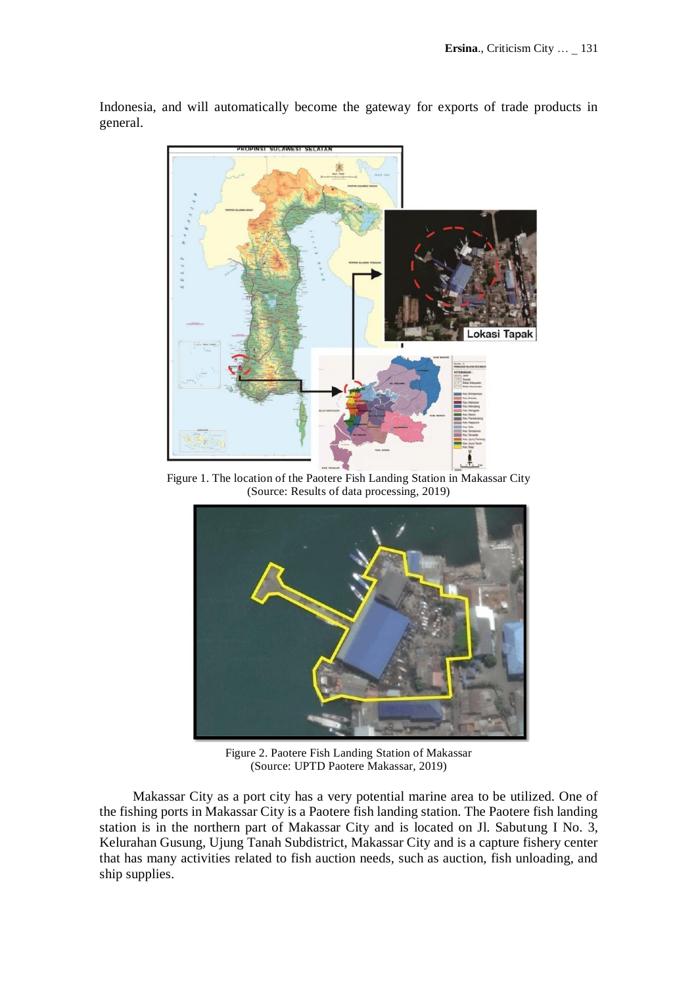okasi Tapak

Indonesia, and will automatically become the gateway for exports of trade products in general.

Figure 1. The location of the Paotere Fish Landing Station in Makassar City (Source: Results of data processing, 2019)



Figure 2. Paotere Fish Landing Station of Makassar (Source: UPTD Paotere Makassar, 2019)

Makassar City as a port city has a very potential marine area to be utilized. One of the fishing ports in Makassar City is a Paotere fish landing station. The Paotere fish landing station is in the northern part of Makassar City and is located on Jl. Sabutung I No. 3, Kelurahan Gusung, Ujung Tanah Subdistrict, Makassar City and is a capture fishery center that has many activities related to fish auction needs, such as auction, fish unloading, and ship supplies.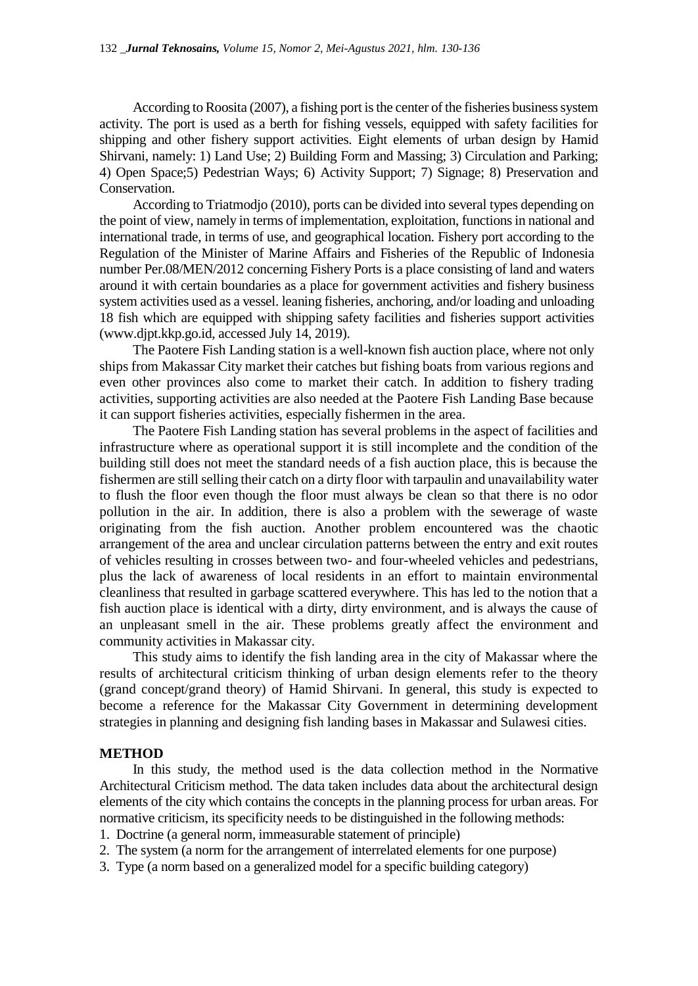According to Roosita (2007), a fishing port is the center of the fisheries business system activity. The port is used as a berth for fishing vessels, equipped with safety facilities for shipping and other fishery support activities. Eight elements of urban design by Hamid Shirvani, namely: 1) Land Use; 2) Building Form and Massing; 3) Circulation and Parking; 4) Open Space;5) Pedestrian Ways; 6) Activity Support; 7) Signage; 8) Preservation and Conservation.

According to Triatmodjo (2010), ports can be divided into several types depending on the point of view, namely in terms of implementation, exploitation, functions in national and international trade, in terms of use, and geographical location. Fishery port according to the Regulation of the Minister of Marine Affairs and Fisheries of the Republic of Indonesia number Per.08/MEN/2012 concerning Fishery Ports is a place consisting of land and waters around it with certain boundaries as a place for government activities and fishery business system activities used as a vessel. leaning fisheries, anchoring, and/or loading and unloading 18 fish which are equipped with shipping safety facilities and fisheries support activities (www.djpt.kkp.go.id, accessed July 14, 2019).

The Paotere Fish Landing station is a well-known fish auction place, where not only ships from Makassar City market their catches but fishing boats from various regions and even other provinces also come to market their catch. In addition to fishery trading activities, supporting activities are also needed at the Paotere Fish Landing Base because it can support fisheries activities, especially fishermen in the area.

The Paotere Fish Landing station has several problems in the aspect of facilities and infrastructure where as operational support it is still incomplete and the condition of the building still does not meet the standard needs of a fish auction place, this is because the fishermen are still selling their catch on a dirty floor with tarpaulin and unavailability water to flush the floor even though the floor must always be clean so that there is no odor pollution in the air. In addition, there is also a problem with the sewerage of waste originating from the fish auction. Another problem encountered was the chaotic arrangement of the area and unclear circulation patterns between the entry and exit routes of vehicles resulting in crosses between two- and four-wheeled vehicles and pedestrians, plus the lack of awareness of local residents in an effort to maintain environmental cleanliness that resulted in garbage scattered everywhere. This has led to the notion that a fish auction place is identical with a dirty, dirty environment, and is always the cause of an unpleasant smell in the air. These problems greatly affect the environment and community activities in Makassar city.

This study aims to identify the fish landing area in the city of Makassar where the results of architectural criticism thinking of urban design elements refer to the theory (grand concept/grand theory) of Hamid Shirvani. In general, this study is expected to become a reference for the Makassar City Government in determining development strategies in planning and designing fish landing bases in Makassar and Sulawesi cities.

## **METHOD**

In this study, the method used is the data collection method in the Normative Architectural Criticism method. The data taken includes data about the architectural design elements of the city which contains the concepts in the planning process for urban areas. For normative criticism, its specificity needs to be distinguished in the following methods:

1. Doctrine (a general norm, immeasurable statement of principle)

2. The system (a norm for the arrangement of interrelated elements for one purpose)

3. Type (a norm based on a generalized model for a specific building category)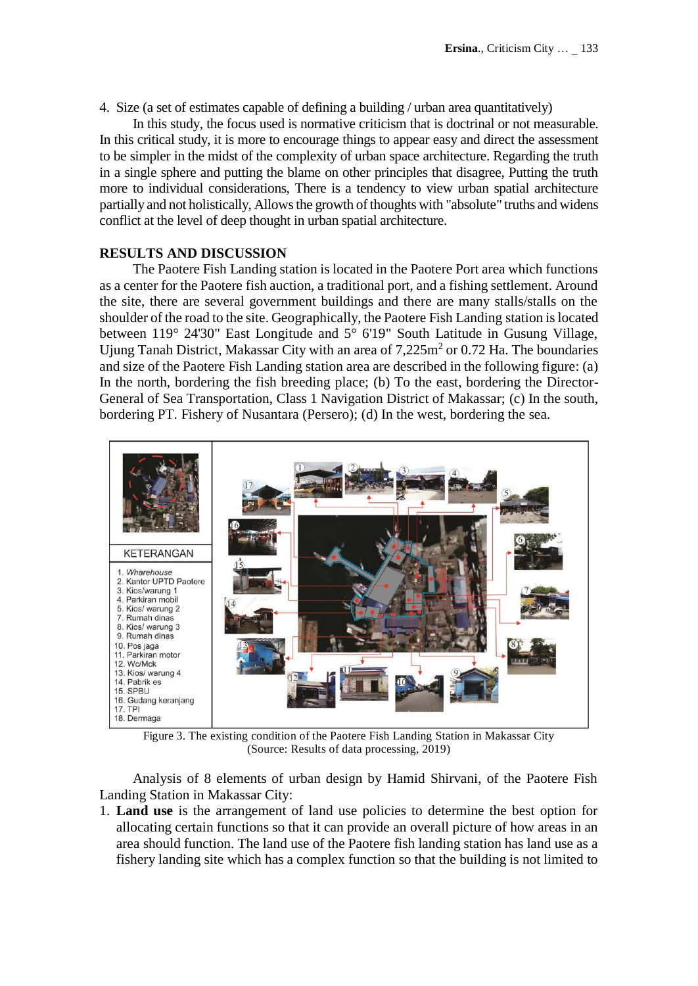4. Size (a set of estimates capable of defining a building / urban area quantitatively)

In this study, the focus used is normative criticism that is doctrinal or not measurable. In this critical study, it is more to encourage things to appear easy and direct the assessment to be simpler in the midst of the complexity of urban space architecture. Regarding the truth in a single sphere and putting the blame on other principles that disagree, Putting the truth more to individual considerations, There is a tendency to view urban spatial architecture partially and not holistically, Allows the growth of thoughts with "absolute" truths and widens conflict at the level of deep thought in urban spatial architecture.

### **RESULTS AND DISCUSSION**

The Paotere Fish Landing station is located in the Paotere Port area which functions as a center for the Paotere fish auction, a traditional port, and a fishing settlement. Around the site, there are several government buildings and there are many stalls/stalls on the shoulder of the road to the site. Geographically, the Paotere Fish Landing station is located between 119° 24'30" East Longitude and 5° 6'19" South Latitude in Gusung Village, Ujung Tanah District, Makassar City with an area of  $7,225m^2$  or 0.72 Ha. The boundaries and size of the Paotere Fish Landing station area are described in the following figure: (a) In the north, bordering the fish breeding place; (b) To the east, bordering the Director-General of Sea Transportation, Class 1 Navigation District of Makassar; (c) In the south, bordering PT. Fishery of Nusantara (Persero); (d) In the west, bordering the sea.



Figure 3. The existing condition of the Paotere Fish Landing Station in Makassar City (Source: Results of data processing, 2019)

Analysis of 8 elements of urban design by Hamid Shirvani, of the Paotere Fish Landing Station in Makassar City:

1. **Land use** is the arrangement of land use policies to determine the best option for allocating certain functions so that it can provide an overall picture of how areas in an area should function. The land use of the Paotere fish landing station has land use as a fishery landing site which has a complex function so that the building is not limited to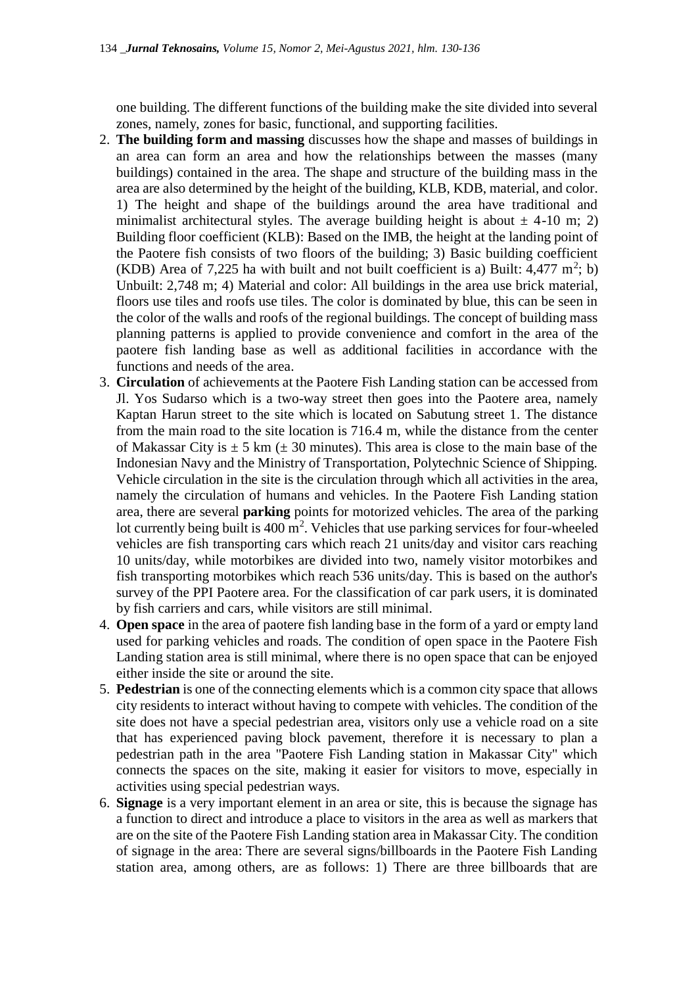one building. The different functions of the building make the site divided into several zones, namely, zones for basic, functional, and supporting facilities.

- 2. **The building form and massing** discusses how the shape and masses of buildings in an area can form an area and how the relationships between the masses (many buildings) contained in the area. The shape and structure of the building mass in the area are also determined by the height of the building, KLB, KDB, material, and color. 1) The height and shape of the buildings around the area have traditional and minimalist architectural styles. The average building height is about  $\pm$  4-10 m; 2) Building floor coefficient (KLB): Based on the IMB, the height at the landing point of the Paotere fish consists of two floors of the building; 3) Basic building coefficient (KDB) Area of 7,225 ha with built and not built coefficient is a) Built:  $4,477 \text{ m}^2$ ; b) Unbuilt: 2,748 m; 4) Material and color: All buildings in the area use brick material, floors use tiles and roofs use tiles. The color is dominated by blue, this can be seen in the color of the walls and roofs of the regional buildings. The concept of building mass planning patterns is applied to provide convenience and comfort in the area of the paotere fish landing base as well as additional facilities in accordance with the functions and needs of the area.
- 3. **Circulation** of achievements at the Paotere Fish Landing station can be accessed from Jl. Yos Sudarso which is a two-way street then goes into the Paotere area, namely Kaptan Harun street to the site which is located on Sabutung street 1. The distance from the main road to the site location is 716.4 m, while the distance from the center of Makassar City is  $\pm$  5 km ( $\pm$  30 minutes). This area is close to the main base of the Indonesian Navy and the Ministry of Transportation, Polytechnic Science of Shipping. Vehicle circulation in the site is the circulation through which all activities in the area, namely the circulation of humans and vehicles. In the Paotere Fish Landing station area, there are several **parking** points for motorized vehicles. The area of the parking lot currently being built is  $400 \text{ m}^2$ . Vehicles that use parking services for four-wheeled vehicles are fish transporting cars which reach 21 units/day and visitor cars reaching 10 units/day, while motorbikes are divided into two, namely visitor motorbikes and fish transporting motorbikes which reach 536 units/day. This is based on the author's survey of the PPI Paotere area. For the classification of car park users, it is dominated by fish carriers and cars, while visitors are still minimal.
- 4. **Open space** in the area of paotere fish landing base in the form of a yard or empty land used for parking vehicles and roads. The condition of open space in the Paotere Fish Landing station area is still minimal, where there is no open space that can be enjoyed either inside the site or around the site.
- 5. **Pedestrian** is one of the connecting elements which is a common city space that allows city residents to interact without having to compete with vehicles. The condition of the site does not have a special pedestrian area, visitors only use a vehicle road on a site that has experienced paving block pavement, therefore it is necessary to plan a pedestrian path in the area "Paotere Fish Landing station in Makassar City" which connects the spaces on the site, making it easier for visitors to move, especially in activities using special pedestrian ways.
- 6. **Signage** is a very important element in an area or site, this is because the signage has a function to direct and introduce a place to visitors in the area as well as markers that are on the site of the Paotere Fish Landing station area in Makassar City. The condition of signage in the area: There are several signs/billboards in the Paotere Fish Landing station area, among others, are as follows: 1) There are three billboards that are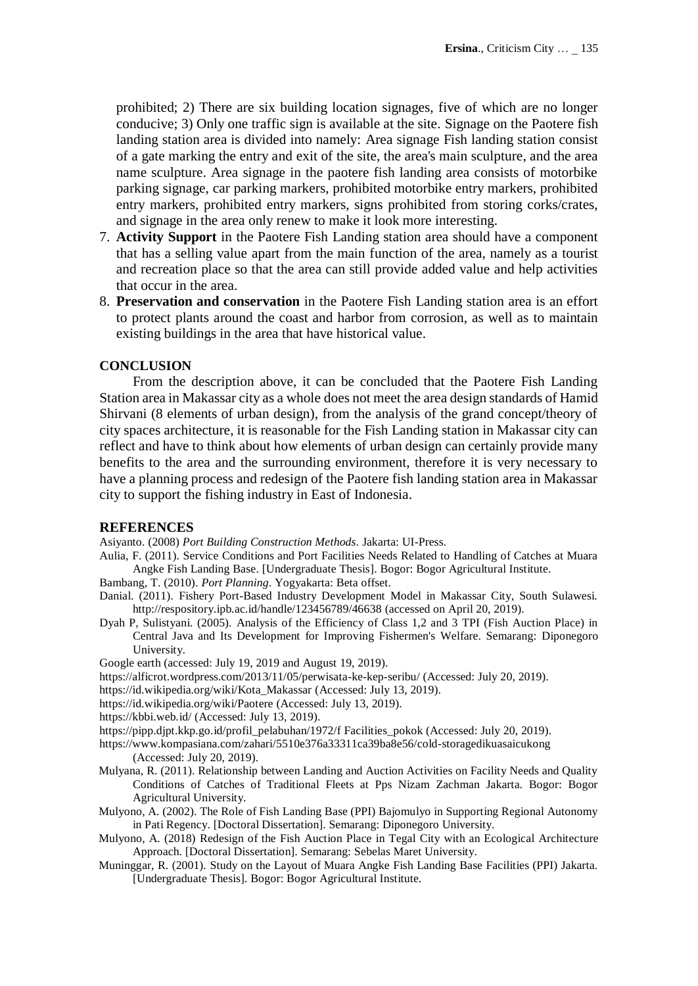prohibited; 2) There are six building location signages, five of which are no longer conducive; 3) Only one traffic sign is available at the site. Signage on the Paotere fish landing station area is divided into namely: Area signage Fish landing station consist of a gate marking the entry and exit of the site, the area's main sculpture, and the area name sculpture. Area signage in the paotere fish landing area consists of motorbike parking signage, car parking markers, prohibited motorbike entry markers, prohibited entry markers, prohibited entry markers, signs prohibited from storing corks/crates, and signage in the area only renew to make it look more interesting.

- 7. **Activity Support** in the Paotere Fish Landing station area should have a component that has a selling value apart from the main function of the area, namely as a tourist and recreation place so that the area can still provide added value and help activities that occur in the area.
- 8. **Preservation and conservation** in the Paotere Fish Landing station area is an effort to protect plants around the coast and harbor from corrosion, as well as to maintain existing buildings in the area that have historical value.

## **CONCLUSION**

From the description above, it can be concluded that the Paotere Fish Landing Station area in Makassar city as a whole does not meet the area design standards of Hamid Shirvani (8 elements of urban design), from the analysis of the grand concept/theory of city spaces architecture, it is reasonable for the Fish Landing station in Makassar city can reflect and have to think about how elements of urban design can certainly provide many benefits to the area and the surrounding environment, therefore it is very necessary to have a planning process and redesign of the Paotere fish landing station area in Makassar city to support the fishing industry in East of Indonesia.

#### **REFERENCES**

Asiyanto. (2008) *Port Building Construction Methods*. Jakarta: UI-Press.

Aulia, F. (2011). Service Conditions and Port Facilities Needs Related to Handling of Catches at Muara Angke Fish Landing Base. [Undergraduate Thesis]. Bogor: Bogor Agricultural Institute.

Bambang, T. (2010). *Port Planning*. Yogyakarta: Beta offset.

- Danial. (2011). Fishery Port-Based Industry Development Model in Makassar City, South Sulawesi. <http://respository.ipb.ac.id/handle/123456789/46638> (accessed on April 20, 2019).
- Dyah P, Sulistyani. (2005). Analysis of the Efficiency of Class 1,2 and 3 TPI (Fish Auction Place) in Central Java and Its Development for Improving Fishermen's Welfare. Semarang: Diponegoro University.

Google earth (accessed: July 19, 2019 and August 19, 2019).

- https://alficrot.wordpress.com/2013/11/05/perwisata-ke-kep-seribu/ (Accessed: July 20, 2019).
- https://id.wikipedia.org/wiki/Kota\_Makassar (Accessed: July 13, 2019).
- <https://id.wikipedia.org/wiki/Paotere> (Accessed: July 13, 2019).
- <https://kbbi.web.id/> (Accessed: July 13, 2019).

https://pipp.djpt.kkp.go.id/profil\_pelabuhan/1972/f Facilities\_pokok (Accessed: July 20, 2019).

- <https://www.kompasiana.com/zahari/5510e376a33311ca39ba8e56/cold-storagedikuasaicukong> (Accessed: July 20, 2019).
- Mulyana, R. (2011). Relationship between Landing and Auction Activities on Facility Needs and Quality Conditions of Catches of Traditional Fleets at Pps Nizam Zachman Jakarta. Bogor: Bogor Agricultural University.
- Mulyono, A. (2002). The Role of Fish Landing Base (PPI) Bajomulyo in Supporting Regional Autonomy in Pati Regency. [Doctoral Dissertation]. Semarang: Diponegoro University.
- Mulyono, A. (2018) Redesign of the Fish Auction Place in Tegal City with an Ecological Architecture Approach. [Doctoral Dissertation]. Semarang: Sebelas Maret University.
- Muninggar, R. (2001)*.* Study on the Layout of Muara Angke Fish Landing Base Facilities (PPI) Jakarta. [Undergraduate Thesis]. Bogor: Bogor Agricultural Institute.